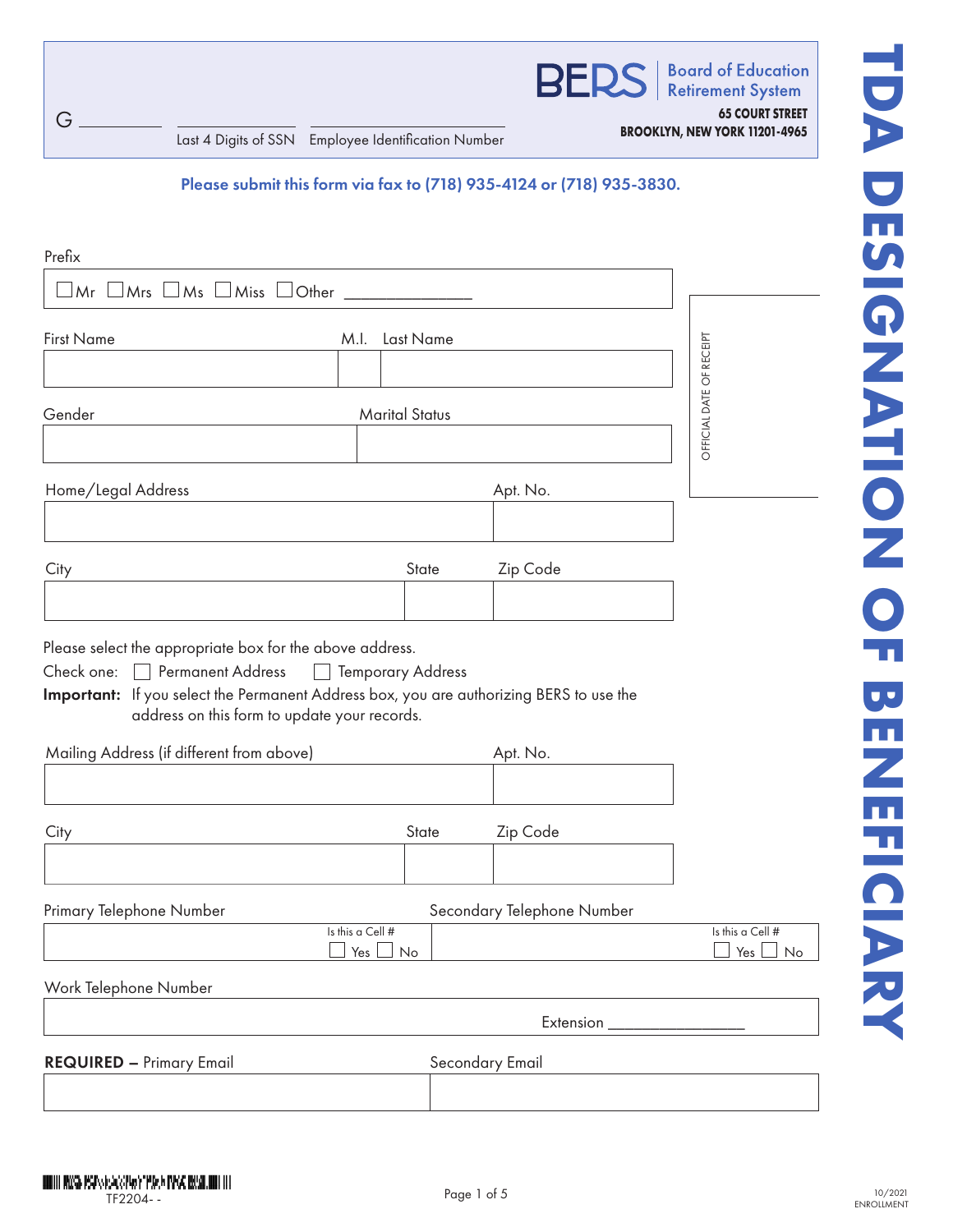

**Board of Education Retirement System 65 COURT STREET**

**BROOKLYN, NEW YORK 11201-4965** Last 4 Digits of SSN Employee Identification Number

## Please submit this form via fax to (718) 935-4124 or (718) 935-3830.

| Prefix                                                                                                                                                                                                                                                                                                                 |                                           |       |                            |                               |
|------------------------------------------------------------------------------------------------------------------------------------------------------------------------------------------------------------------------------------------------------------------------------------------------------------------------|-------------------------------------------|-------|----------------------------|-------------------------------|
| $\mathsf{Mr}\ \mathsf{\square}\mathsf{Mrs}\ \mathsf{\square}\mathsf{Ms}\ \mathsf{\square}\mathsf{Miss}\ \mathsf{\square}\mathsf{Other}\ \mathsf{\_}$                                                                                                                                                                   |                                           |       |                            |                               |
| <b>First Name</b>                                                                                                                                                                                                                                                                                                      | M.I.<br>Last Name                         |       |                            |                               |
| Gender                                                                                                                                                                                                                                                                                                                 | <b>Marital Status</b>                     |       |                            | OFFICIAL DATE OF RECEIPT      |
| Home/Legal Address                                                                                                                                                                                                                                                                                                     |                                           |       | Apt. No.                   |                               |
| City                                                                                                                                                                                                                                                                                                                   |                                           | State | Zip Code                   |                               |
| Please select the appropriate box for the above address.<br>Check one:<br><b>Permanent Address</b><br>$\overline{\phantom{a}}$<br>Important: If you select the Permanent Address box, you are authorizing BERS to use the<br>address on this form to update your records.<br>Mailing Address (if different from above) | <b>Temporary Address</b><br>$\mathcal{L}$ |       | Apt. No.                   |                               |
| City                                                                                                                                                                                                                                                                                                                   |                                           | State | Zip Code                   |                               |
| Primary Telephone Number                                                                                                                                                                                                                                                                                               | Is this a Cell #<br>No<br>Yes             |       | Secondary Telephone Number | Is this a Cell #<br>No<br>Yes |
| Work Telephone Number                                                                                                                                                                                                                                                                                                  |                                           |       |                            |                               |
|                                                                                                                                                                                                                                                                                                                        |                                           |       | Extension                  |                               |
| <b>REQUIRED - Primary Email</b>                                                                                                                                                                                                                                                                                        |                                           |       | Secondary Email            |                               |
|                                                                                                                                                                                                                                                                                                                        |                                           |       |                            |                               |

G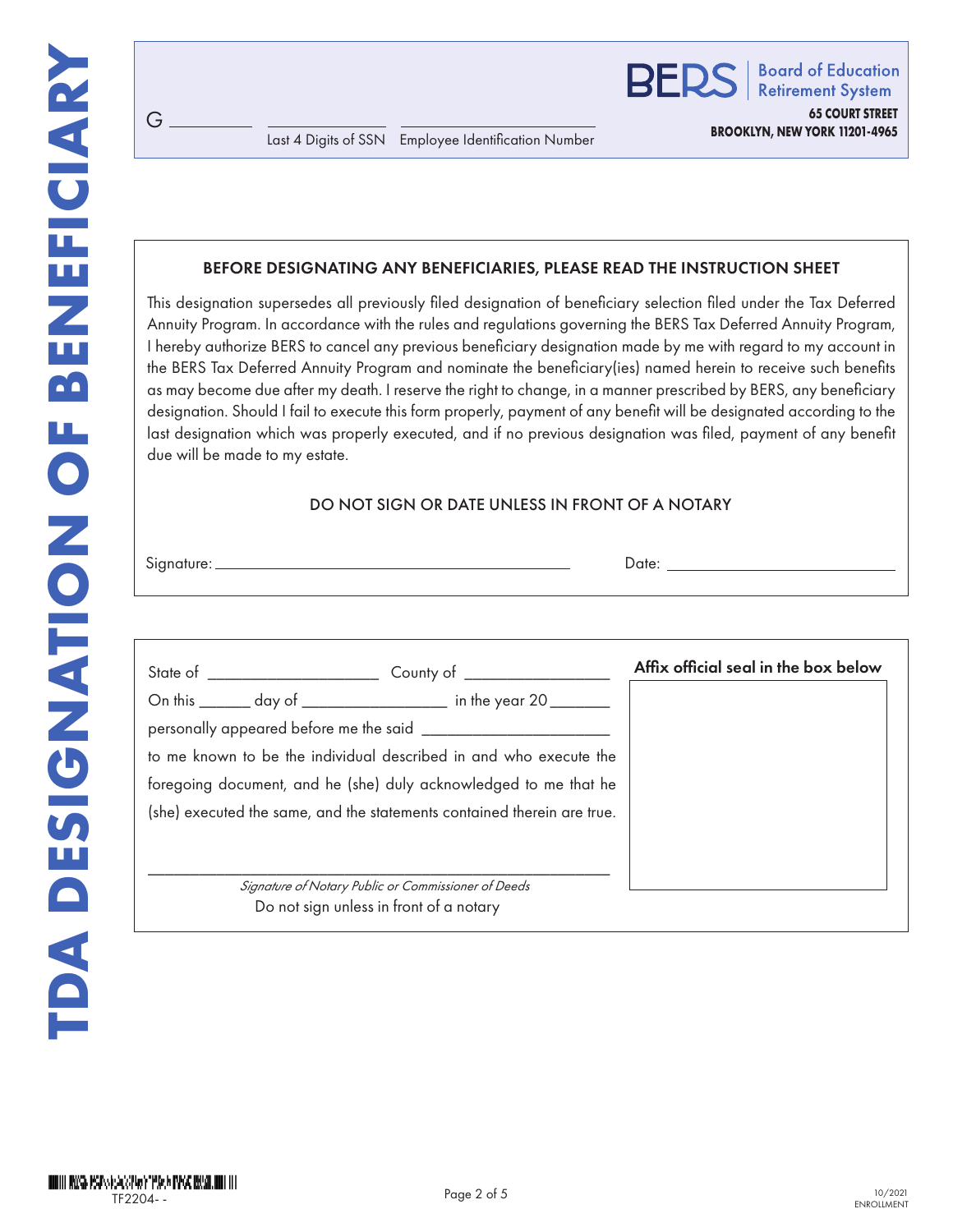#### BEFORE DESIGNATING ANY BENEFICIARIES, PLEASE READ THE INSTRUCTION SHEET

This designation supersedes all previously filed designation of beneficiary selection filed under the Tax Deferred Annuity Program. In accordance with the rules and regulations governing the BERS Tax Deferred Annuity Program, I hereby authorize BERS to cancel any previous beneficiary designation made by me with regard to my account in the BERS Tax Deferred Annuity Program and nominate the beneficiary(ies) named herein to receive such benefits as may become due after my death. I reserve the right to change, in a manner prescribed by BERS, any beneficiary designation. Should I fail to execute this form properly, payment of any benefit will be designated according to the last designation which was properly executed, and if no previous designation was filed, payment of any benefit due will be made to my estate.

#### DO NOT SIGN OR DATE UNLESS IN FRONT OF A NOTARY

| Signature: | ⊃ate: |
|------------|-------|
|            |       |

G

|                                         | Affix official seal in the box below                                                                                                                                                                                                                                                                                                           |
|-----------------------------------------|------------------------------------------------------------------------------------------------------------------------------------------------------------------------------------------------------------------------------------------------------------------------------------------------------------------------------------------------|
|                                         |                                                                                                                                                                                                                                                                                                                                                |
|                                         |                                                                                                                                                                                                                                                                                                                                                |
|                                         |                                                                                                                                                                                                                                                                                                                                                |
|                                         |                                                                                                                                                                                                                                                                                                                                                |
|                                         |                                                                                                                                                                                                                                                                                                                                                |
|                                         |                                                                                                                                                                                                                                                                                                                                                |
| Do not sign unless in front of a notary |                                                                                                                                                                                                                                                                                                                                                |
|                                         | On this _______ day of ____________________ in the year 20 ________<br>to me known to be the individual described in and who execute the<br>foregoing document, and he (she) duly acknowledged to me that he<br>(she) executed the same, and the statements contained therein are true.<br>Signature of Notary Public or Commissioner of Deeds |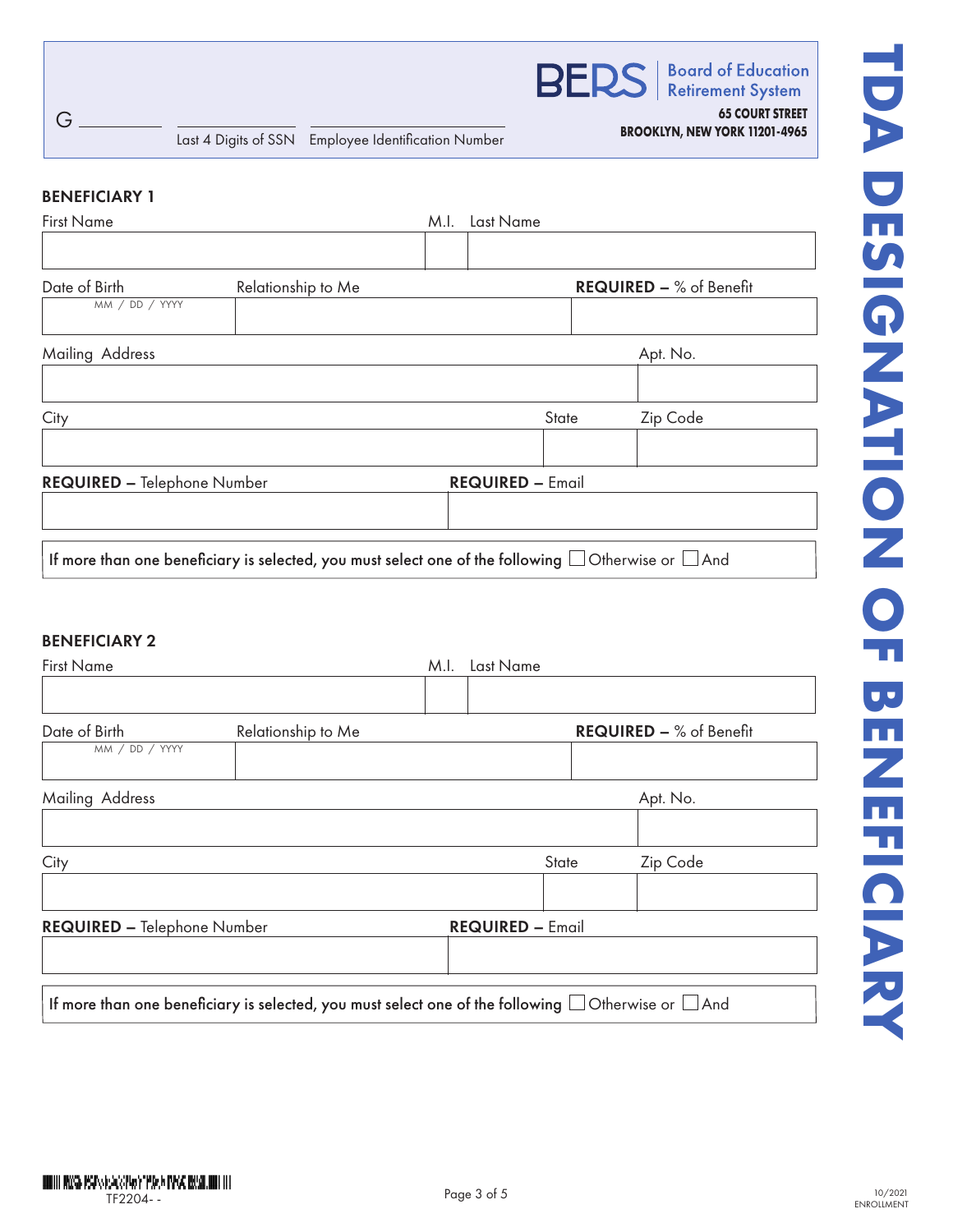

**Retirement System** 

**65 COURT STREET**

**BROOKLYN, NEW YORK 11201-4965** Last 4 Digits of SSN Employee Identification Number

#### BENEFICIARY 1

G

| <b>First Name</b>                  |                                                                                                               | M.I.                    | Last Name |       |                                |
|------------------------------------|---------------------------------------------------------------------------------------------------------------|-------------------------|-----------|-------|--------------------------------|
|                                    |                                                                                                               |                         |           |       |                                |
| Date of Birth<br>MM / DD / YYYY    | Relationship to Me                                                                                            |                         |           |       | <b>REQUIRED - % of Benefit</b> |
| Mailing Address                    |                                                                                                               |                         |           |       | Apt. No.                       |
|                                    |                                                                                                               |                         |           |       |                                |
| City                               |                                                                                                               |                         |           | State | Zip Code                       |
| <b>REQUIRED - Telephone Number</b> |                                                                                                               | <b>REQUIRED - Email</b> |           |       |                                |
|                                    |                                                                                                               |                         |           |       |                                |
|                                    | If more than one beneficiary is selected, you must select one of the following $\Box$ Otherwise or $\Box$ And |                         |           |       |                                |

## BENEFICIARY 2

| <b>First Name</b>                  |                                                                                                               | M.I. | Last Name               |       |                                |
|------------------------------------|---------------------------------------------------------------------------------------------------------------|------|-------------------------|-------|--------------------------------|
| Date of Birth<br>MM / DD / YYYY    | Relationship to Me                                                                                            |      |                         |       | <b>REQUIRED - % of Benefit</b> |
| Mailing Address                    |                                                                                                               |      |                         |       | Apt. No.                       |
| City                               |                                                                                                               |      |                         | State | Zip Code                       |
| <b>REQUIRED - Telephone Number</b> |                                                                                                               |      | <b>REQUIRED - Email</b> |       |                                |
|                                    |                                                                                                               |      |                         |       |                                |
|                                    | If more than one beneficiary is selected, you must select one of the following $\Box$ Otherwise or $\Box$ And |      |                         |       |                                |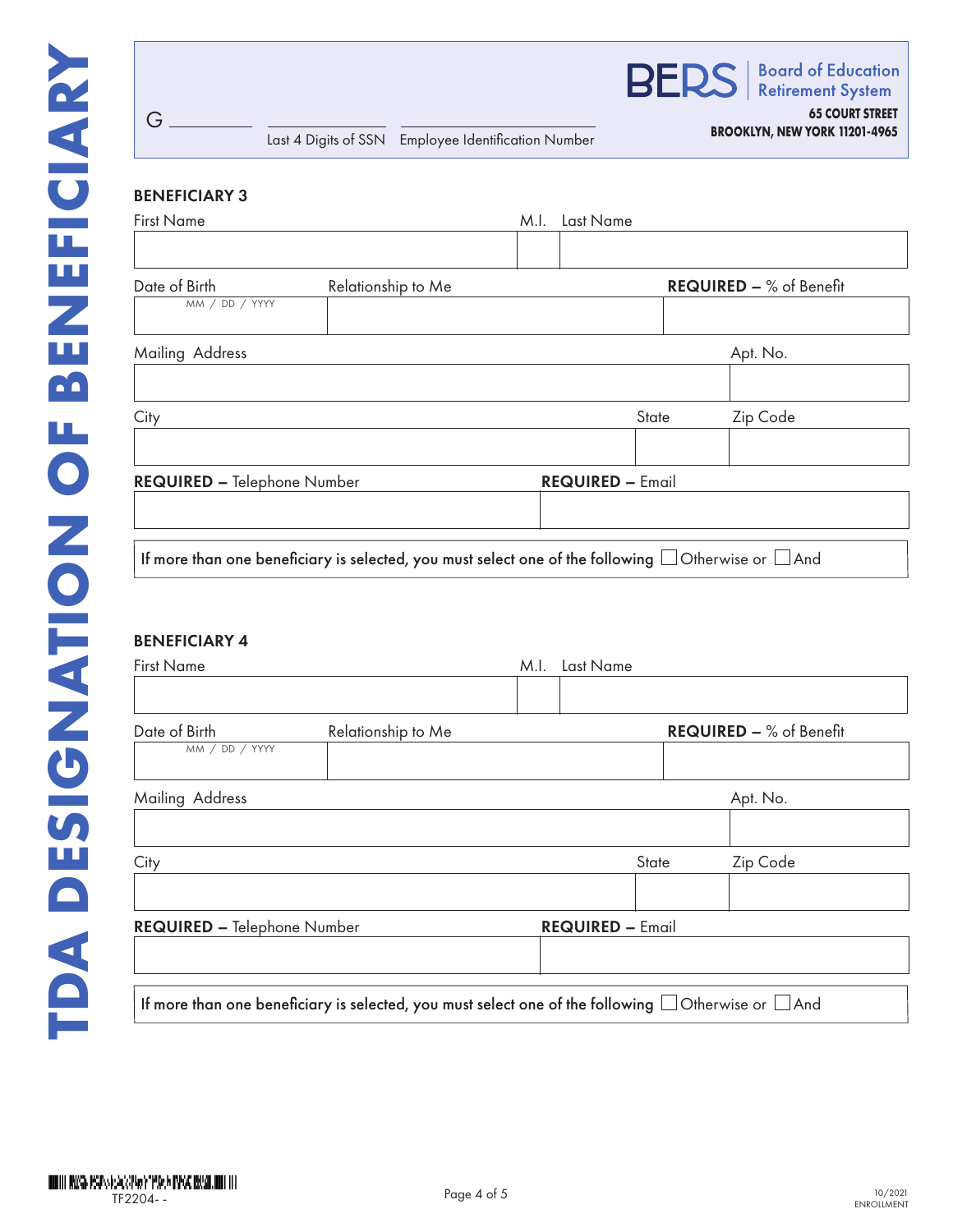| Last 4 Digits of SSN Employee Identification Number |                                                                                       |      |                         | <b>BROOKLYN, NEW YORK 11201-4965</b> |                                                       |  |
|-----------------------------------------------------|---------------------------------------------------------------------------------------|------|-------------------------|--------------------------------------|-------------------------------------------------------|--|
| <b>BENEFICIARY 3</b>                                |                                                                                       |      |                         |                                      |                                                       |  |
| <b>First Name</b>                                   |                                                                                       | M.I. | Last Name               |                                      |                                                       |  |
|                                                     |                                                                                       |      |                         |                                      |                                                       |  |
| Date of Birth                                       | Relationship to Me                                                                    |      |                         |                                      | <b>REQUIRED - % of Benefit</b>                        |  |
| MM / DD / YYYY                                      |                                                                                       |      |                         |                                      |                                                       |  |
| Mailing Address                                     |                                                                                       |      |                         |                                      | Apt. No.                                              |  |
|                                                     |                                                                                       |      |                         |                                      |                                                       |  |
| City                                                |                                                                                       |      |                         | State                                | Zip Code                                              |  |
|                                                     |                                                                                       |      |                         |                                      |                                                       |  |
| <b>REQUIRED - Telephone Number</b>                  |                                                                                       |      | <b>REQUIRED - Email</b> |                                      |                                                       |  |
|                                                     |                                                                                       |      |                         |                                      |                                                       |  |
|                                                     | If more than one beneficiary is selected, you must select one of the following $\Box$ |      |                         |                                      | $\mathsf{I}$ Otherwise or $\mathsf{I} \mathsf{I}$ And |  |

# BENEFICIARY 4

G

| <b>First Name</b>                  |                                                                                                               | M.I. | Last Name               |              |                                |
|------------------------------------|---------------------------------------------------------------------------------------------------------------|------|-------------------------|--------------|--------------------------------|
| Date of Birth<br>MM / DD / YYYY    | Relationship to Me                                                                                            |      |                         |              | <b>REQUIRED - % of Benefit</b> |
| Mailing Address                    |                                                                                                               |      |                         |              | Apt. No.                       |
| City                               |                                                                                                               |      |                         | <b>State</b> | Zip Code                       |
| <b>REQUIRED - Telephone Number</b> |                                                                                                               |      | <b>REQUIRED - Email</b> |              |                                |
|                                    | If more than one beneficiary is selected, you must select one of the following $\Box$ Otherwise or $\Box$ And |      |                         |              |                                |

DODIN WAS PSPS EXPERIENCE PAGE INVOLUNTIER IN TF2204- -

**65 COURT STREET**

**Board of Education Retirement System** 

**BERS**